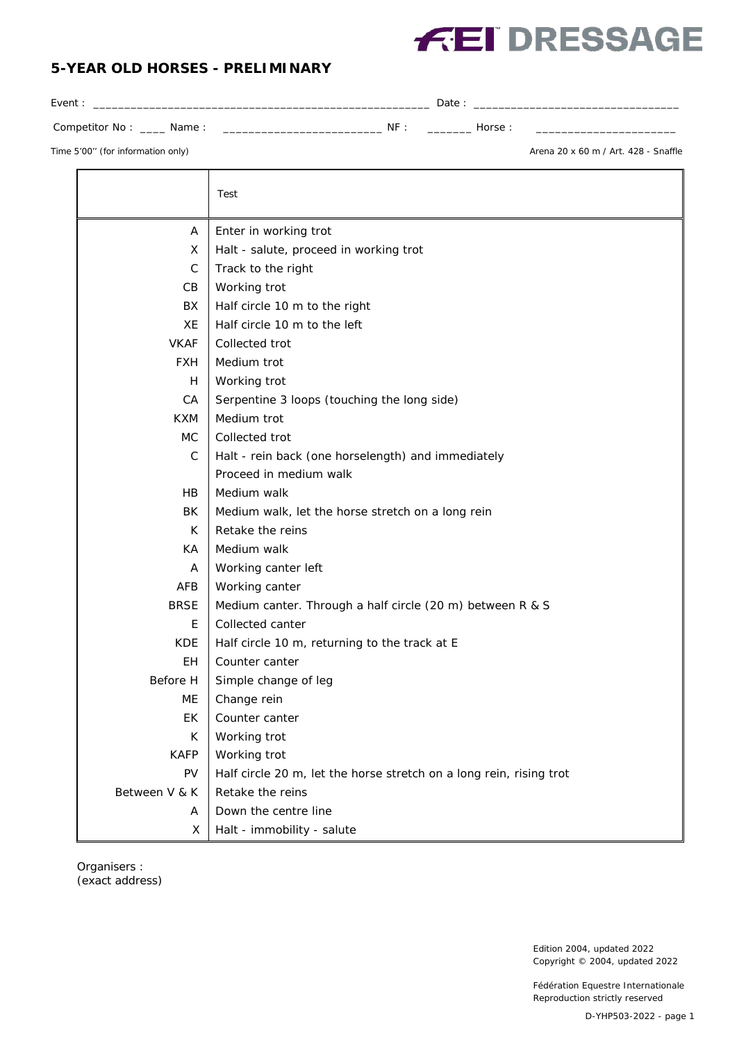## **FEI DRESSAGE**

## **5-YEAR OLD HORSES - PRELIMINARY**

| Event:                            |     | Date: |        |                                      |
|-----------------------------------|-----|-------|--------|--------------------------------------|
| Competitor No: _____ Name:        | NF: |       | Horse: |                                      |
| Time 5'00" (for information only) |     |       |        | Arena 20 x 60 m / Art. 428 - Snaffle |
|                                   |     |       |        |                                      |

|               | Test                                                                |
|---------------|---------------------------------------------------------------------|
| A             | Enter in working trot                                               |
| X             | Halt - salute, proceed in working trot                              |
| $\mathsf C$   | Track to the right                                                  |
| CB            | Working trot                                                        |
| BX            | Half circle 10 m to the right                                       |
| XE            | Half circle 10 m to the left                                        |
| <b>VKAF</b>   | Collected trot                                                      |
| <b>FXH</b>    | Medium trot                                                         |
| H             | Working trot                                                        |
| CA            | Serpentine 3 loops (touching the long side)                         |
| <b>KXM</b>    | Medium trot                                                         |
| <b>MC</b>     | Collected trot                                                      |
| $\mathsf{C}$  | Halt - rein back (one horselength) and immediately                  |
|               | Proceed in medium walk                                              |
| <b>HB</b>     | Medium walk                                                         |
| BK            | Medium walk, let the horse stretch on a long rein                   |
| K             | Retake the reins                                                    |
| КA            | Medium walk                                                         |
| A             | Working canter left                                                 |
| AFB           | Working canter                                                      |
| <b>BRSE</b>   | Medium canter. Through a half circle (20 m) between R & S           |
| E             | Collected canter                                                    |
| KDE.          | Half circle 10 m, returning to the track at E                       |
| <b>EH</b>     | Counter canter                                                      |
| Before H      | Simple change of leg                                                |
| МE            | Change rein                                                         |
| ЕK            | Counter canter                                                      |
| К             | Working trot                                                        |
| <b>KAFP</b>   | Working trot                                                        |
| <b>PV</b>     | Half circle 20 m, let the horse stretch on a long rein, rising trot |
| Between V & K | Retake the reins                                                    |
| A             | Down the centre line                                                |
| Χ             | Halt - immobility - salute                                          |

Organisers : (exact address)

> Edition 2004, updated 2022 Copyright © 2004, updated 2022

Fédération Equestre Internationale Reproduction strictly reserved